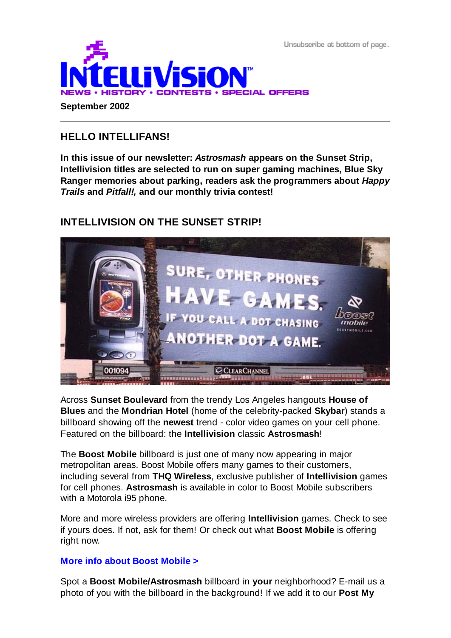Unsubscribe at bottom of page.



# **HELLO INTELLIFANS!**

**In this issue of our newsletter:** *Astrosmash* **appears on the Sunset Strip, Intellivision titles are selected to run on super gaming machines, Blue Sky Ranger memories about parking, readers ask the programmers about** *Happy Trails* **and** *Pitfall!,* **and our monthly trivia contest!**

# **INTELLIVISION ON THE SUNSET STRIP!**



Across **Sunset Boulevard** from the trendy Los Angeles hangouts **House of Blues** and the **Mondrian Hotel** (home of the celebrity-packed **Skybar**) stands a billboard showing off the **newest** trend - color video games on your cell phone. Featured on the billboard: the **Intellivision** classic **Astrosmash**!

The **Boost Mobile** billboard is just one of many now appearing in major metropolitan areas. Boost Mobile offers many games to their customers, including several from **THQ Wireless**, exclusive publisher of **Intellivision** games for cell phones. **Astrosmash** is available in color to Boost Mobile subscribers with a Motorola i95 phone.

More and more wireless providers are offering **Intellivision** games. Check to see if yours does. If not, ask for them! Or check out what **Boost Mobile** is offering right now.

## **More info about Boost Mobile >**

Spot a **Boost Mobile/Astrosmash** billboard in **your** neighborhood? E-mail us a photo of you with the billboard in the background! If we add it to our **Post My**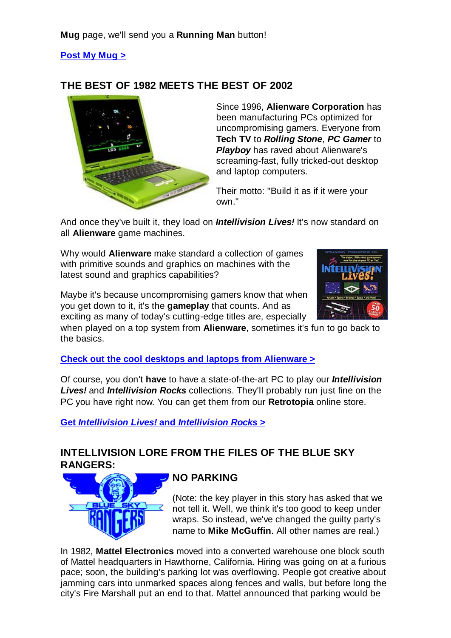## **Post My Mug >**

## **THE BEST OF 1982 MEETS THE BEST OF 2002**



Since 1996, **Alienware Corporation** has been manufacturing PCs optimized for uncompromising gamers. Everyone from **Tech TV** to *Rolling Stone*, *PC Gamer* to **Playboy** has raved about Alienware's screaming-fast, fully tricked-out desktop and laptop computers.

Their motto: "Build it as if it were your own."

And once they've built it, they load on *Intellivision Lives!* It's now standard on all **Alienware** game machines.

Why would **Alienware** make standard a collection of games with primitive sounds and graphics on machines with the latest sound and graphics capabilities?

Maybe it's because uncompromising gamers know that when you get down to it, it's the **gameplay** that counts. And as exciting as many of today's cutting-edge titles are, especially



when played on a top system from **Alienware**, sometimes it's fun to go back to the basics.

**Check out the cool desktops and laptops from Alienware >**

Of course, you don't **have** to have a state-of-the-art PC to play our *Intellivision Lives!* and *Intellivision Rocks* collections. They'll probably run just fine on the PC you have right now. You can get them from our **Retrotopia** online store.

**Get** *Intellivision Lives!* **and** *Intellivision Rocks* **>**

# **INTELLIVISION LORE FROM THE FILES OF THE BLUE SKY RANGERS:**



# **NO PARKING**

(Note: the key player in this story has asked that we not tell it. Well, we think it's too good to keep under wraps. So instead, we've changed the guilty party's name to **Mike McGuffin**. All other names are real.)

In 1982, **Mattel Electronics** moved into a converted warehouse one block south of Mattel headquarters in Hawthorne, California. Hiring was going on at a furious pace; soon, the building's parking lot was overflowing. People got creative about jamming cars into unmarked spaces along fences and walls, but before long the city's Fire Marshall put an end to that. Mattel announced that parking would be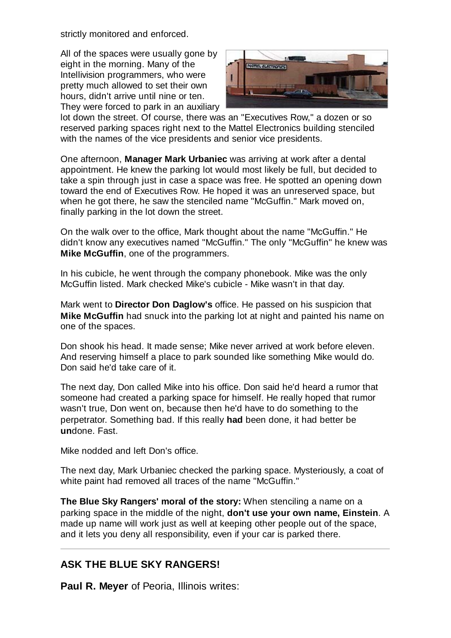strictly monitored and enforced.

All of the spaces were usually gone by eight in the morning. Many of the Intellivision programmers, who were pretty much allowed to set their own hours, didn't arrive until nine or ten. They were forced to park in an auxiliary



lot down the street. Of course, there was an "Executives Row," a dozen or so reserved parking spaces right next to the Mattel Electronics building stenciled with the names of the vice presidents and senior vice presidents.

One afternoon, **Manager Mark Urbaniec** was arriving at work after a dental appointment. He knew the parking lot would most likely be full, but decided to take a spin through just in case a space was free. He spotted an opening down toward the end of Executives Row. He hoped it was an unreserved space, but when he got there, he saw the stenciled name "McGuffin." Mark moved on, finally parking in the lot down the street.

On the walk over to the office, Mark thought about the name "McGuffin." He didn't know any executives named "McGuffin." The only "McGuffin" he knew was **Mike McGuffin**, one of the programmers.

In his cubicle, he went through the company phonebook. Mike was the only McGuffin listed. Mark checked Mike's cubicle - Mike wasn't in that day.

Mark went to **Director Don Daglow's** office. He passed on his suspicion that **Mike McGuffin** had snuck into the parking lot at night and painted his name on one of the spaces.

Don shook his head. It made sense; Mike never arrived at work before eleven. And reserving himself a place to park sounded like something Mike would do. Don said he'd take care of it.

The next day, Don called Mike into his office. Don said he'd heard a rumor that someone had created a parking space for himself. He really hoped that rumor wasn't true, Don went on, because then he'd have to do something to the perpetrator. Something bad. If this really **had** been done, it had better be **un**done. Fast.

Mike nodded and left Don's office.

The next day, Mark Urbaniec checked the parking space. Mysteriously, a coat of white paint had removed all traces of the name "McGuffin."

**The Blue Sky Rangers' moral of the story:** When stenciling a name on a parking space in the middle of the night, **don't use your own name, Einstein**. A made up name will work just as well at keeping other people out of the space, and it lets you deny all responsibility, even if your car is parked there.

## **ASK THE BLUE SKY RANGERS!**

**Paul R. Meyer** of Peoria, Illinois writes: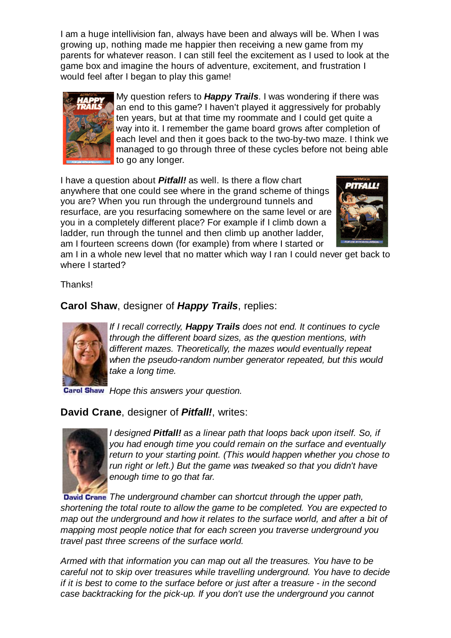I am a huge intellivision fan, always have been and always will be. When I was growing up, nothing made me happier then receiving a new game from my parents for whatever reason. I can still feel the excitement as I used to look at the game box and imagine the hours of adventure, excitement, and frustration I would feel after I began to play this game!



My question refers to *Happy Trails*. I was wondering if there was an end to this game? I haven't played it aggressively for probably ten years, but at that time my roommate and I could get quite a way into it. I remember the game board grows after completion of each level and then it goes back to the two-by-two maze. I think we managed to go through three of these cycles before not being able to go any longer.

I have a question about *Pitfall!* as well. Is there a flow chart anywhere that one could see where in the grand scheme of things you are? When you run through the underground tunnels and resurface, are you resurfacing somewhere on the same level or are you in a completely different place? For example if I climb down a ladder, run through the tunnel and then climb up another ladder, am I fourteen screens down (for example) from where I started or



am I in a whole new level that no matter which way I ran I could never get back to where I started?

Thanks!

**Carol Shaw**, designer of *Happy Trails*, replies:



*If I recall correctly, Happy Trails does not end. It continues to cycle through the different board sizes, as the question mentions, with different mazes. Theoretically, the mazes would eventually repeat when the pseudo-random number generator repeated, but this would take a long time.*

**Carol Shaw** Hope this answers your question.

## **David Crane**, designer of *Pitfall!*, writes:



*I designed Pitfall! as a linear path that loops back upon itself. So, if you had enough time you could remain on the surface and eventually return to your starting point. (This would happen whether you chose to run right or left.) But the game was tweaked so that you didn't have enough time to go that far.*

*The underground chamber can shortcut through the upper path, shortening the total route to allow the game to be completed. You are expected to map out the underground and how it relates to the surface world, and after a bit of mapping most people notice that for each screen you traverse underground you travel past three screens of the surface world.*

*Armed with that information you can map out all the treasures. You have to be careful not to skip over treasures while travelling underground. You have to decide if it is best to come to the surface before or just after a treasure - in the second case backtracking for the pick-up. If you don't use the underground you cannot*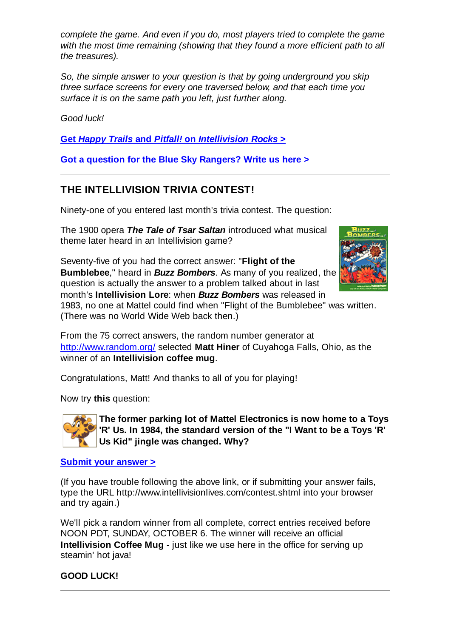*complete the game. And even if you do, most players tried to complete the game with the most time remaining (showing that they found a more efficient path to all the treasures).*

*So, the simple answer to your question is that by going underground you skip three surface screens for every one traversed below, and that each time you surface it is on the same path you left, just further along.*

*Good luck!*

**Get** *Happy Trails* **and** *Pitfall!* **on** *Intellivision Rocks* **>**

**Got a question for the Blue Sky Rangers? Write us here >**

# **THE INTELLIVISION TRIVIA CONTEST!**

Ninety-one of you entered last month's trivia contest. The question:

The 1900 opera *The Tale of Tsar Saltan* introduced what musical theme later heard in an Intellivision game?

Seventy-five of you had the correct answer: "**Flight of the Bumblebee**," heard in *Buzz Bombers*. As many of you realized, the question is actually the answer to a problem talked about in last month's **Intellivision Lore**: when *Buzz Bombers* was released in



1983, no one at Mattel could find when "Flight of the Bumblebee" was written. (There was no World Wide Web back then.)

From the 75 correct answers, the random number generator at http://www.random.org/ selected **Matt Hiner** of Cuyahoga Falls, Ohio, as the winner of an **Intellivision coffee mug**.

Congratulations, Matt! And thanks to all of you for playing!

Now try **this** question:



**The former parking lot of Mattel Electronics is now home to a Toys 'R' Us. In 1984, the standard version of the "I Want to be a Toys 'R' Us Kid" jingle was changed. Why?**

### **Submit your answer >**

(If you have trouble following the above link, or if submitting your answer fails, type the URL http://www.intellivisionlives.com/contest.shtml into your browser and try again.)

We'll pick a random winner from all complete, correct entries received before NOON PDT, SUNDAY, OCTOBER 6. The winner will receive an official **Intellivision Coffee Mug** - just like we use here in the office for serving up steamin' hot java!

### **GOOD LUCK!**